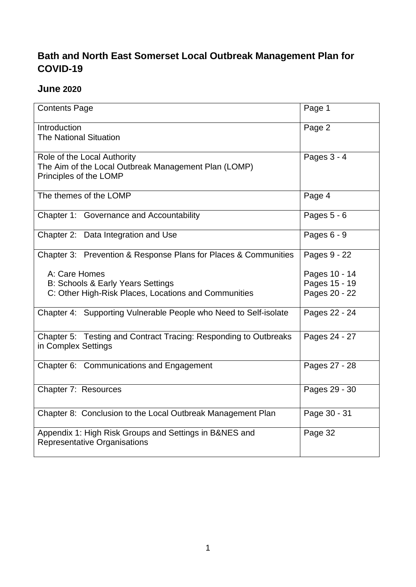# **Bath and North East Somerset Local Outbreak Management Plan for COVID-19**

## **June 2020**

| <b>Contents Page</b>                                                                                          | Page 1                         |
|---------------------------------------------------------------------------------------------------------------|--------------------------------|
| Introduction<br><b>The National Situation</b>                                                                 | Page 2                         |
| Role of the Local Authority<br>The Aim of the Local Outbreak Management Plan (LOMP)<br>Principles of the LOMP | Pages $3 - 4$                  |
| The themes of the LOMP                                                                                        | Page 4                         |
| Chapter 1: Governance and Accountability                                                                      | Pages $5 - 6$                  |
| Chapter 2: Data Integration and Use                                                                           | Pages $6 - 9$                  |
| Chapter 3: Prevention & Response Plans for Places & Communities                                               | Pages 9 - 22                   |
| A: Care Homes<br><b>B: Schools &amp; Early Years Settings</b>                                                 | Pages 10 - 14<br>Pages 15 - 19 |
| C: Other High-Risk Places, Locations and Communities                                                          | Pages 20 - 22                  |
| Chapter 4: Supporting Vulnerable People who Need to Self-isolate                                              | Pages 22 - 24                  |
| Chapter 5: Testing and Contract Tracing: Responding to Outbreaks<br>in Complex Settings                       | Pages 24 - 27                  |
| Chapter 6: Communications and Engagement                                                                      | Pages 27 - 28                  |
| Chapter 7: Resources                                                                                          | Pages 29 - 30                  |
| Chapter 8: Conclusion to the Local Outbreak Management Plan                                                   | Page 30 - 31                   |
| Appendix 1: High Risk Groups and Settings in B&NES and<br><b>Representative Organisations</b>                 | Page 32                        |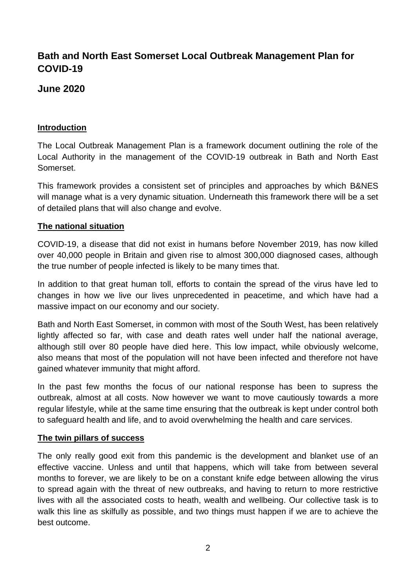# **Bath and North East Somerset Local Outbreak Management Plan for COVID-19**

## **June 2020**

### **Introduction**

The Local Outbreak Management Plan is a framework document outlining the role of the Local Authority in the management of the COVID-19 outbreak in Bath and North East Somerset.

This framework provides a consistent set of principles and approaches by which B&NES will manage what is a very dynamic situation. Underneath this framework there will be a set of detailed plans that will also change and evolve.

#### **The national situation**

COVID-19, a disease that did not exist in humans before November 2019, has now killed over 40,000 people in Britain and given rise to almost 300,000 diagnosed cases, although the true number of people infected is likely to be many times that.

In addition to that great human toll, efforts to contain the spread of the virus have led to changes in how we live our lives unprecedented in peacetime, and which have had a massive impact on our economy and our society.

Bath and North East Somerset, in common with most of the South West, has been relatively lightly affected so far, with case and death rates well under half the national average, although still over 80 people have died here. This low impact, while obviously welcome, also means that most of the population will not have been infected and therefore not have gained whatever immunity that might afford.

In the past few months the focus of our national response has been to supress the outbreak, almost at all costs. Now however we want to move cautiously towards a more regular lifestyle, while at the same time ensuring that the outbreak is kept under control both to safeguard health and life, and to avoid overwhelming the health and care services.

#### **The twin pillars of success**

The only really good exit from this pandemic is the development and blanket use of an effective vaccine. Unless and until that happens, which will take from between several months to forever, we are likely to be on a constant knife edge between allowing the virus to spread again with the threat of new outbreaks, and having to return to more restrictive lives with all the associated costs to heath, wealth and wellbeing. Our collective task is to walk this line as skilfully as possible, and two things must happen if we are to achieve the best outcome.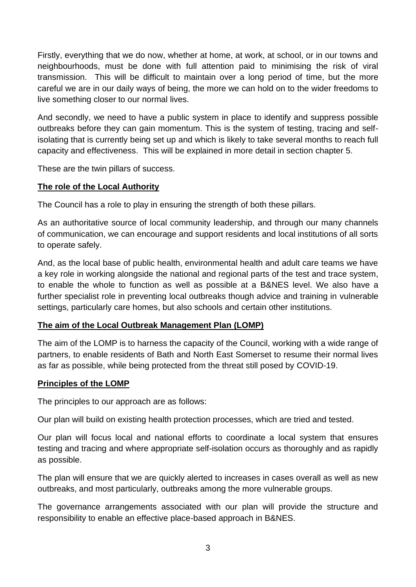Firstly, everything that we do now, whether at home, at work, at school, or in our towns and neighbourhoods, must be done with full attention paid to minimising the risk of viral transmission. This will be difficult to maintain over a long period of time, but the more careful we are in our daily ways of being, the more we can hold on to the wider freedoms to live something closer to our normal lives.

And secondly, we need to have a public system in place to identify and suppress possible outbreaks before they can gain momentum. This is the system of testing, tracing and selfisolating that is currently being set up and which is likely to take several months to reach full capacity and effectiveness. This will be explained in more detail in section chapter 5.

These are the twin pillars of success.

## **The role of the Local Authority**

The Council has a role to play in ensuring the strength of both these pillars.

As an authoritative source of local community leadership, and through our many channels of communication, we can encourage and support residents and local institutions of all sorts to operate safely.

And, as the local base of public health, environmental health and adult care teams we have a key role in working alongside the national and regional parts of the test and trace system, to enable the whole to function as well as possible at a B&NES level. We also have a further specialist role in preventing local outbreaks though advice and training in vulnerable settings, particularly care homes, but also schools and certain other institutions.

#### **The aim of the Local Outbreak Management Plan (LOMP)**

The aim of the LOMP is to harness the capacity of the Council, working with a wide range of partners, to enable residents of Bath and North East Somerset to resume their normal lives as far as possible, while being protected from the threat still posed by COVID-19.

#### **Principles of the LOMP**

The principles to our approach are as follows:

Our plan will build on existing health protection processes, which are tried and tested.

Our plan will focus local and national efforts to coordinate a local system that ensures testing and tracing and where appropriate self-isolation occurs as thoroughly and as rapidly as possible.

The plan will ensure that we are quickly alerted to increases in cases overall as well as new outbreaks, and most particularly, outbreaks among the more vulnerable groups.

The governance arrangements associated with our plan will provide the structure and responsibility to enable an effective place-based approach in B&NES.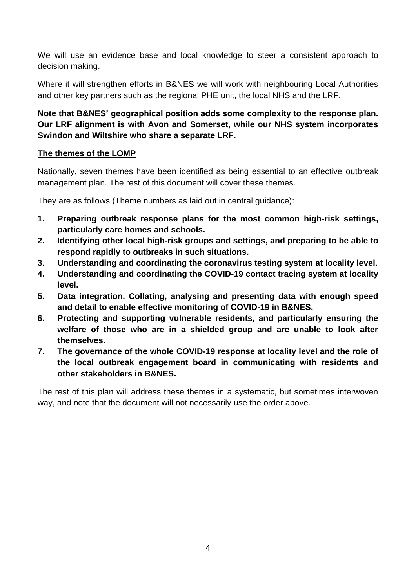We will use an evidence base and local knowledge to steer a consistent approach to decision making.

Where it will strengthen efforts in B&NES we will work with neighbouring Local Authorities and other key partners such as the regional PHE unit, the local NHS and the LRF.

## **Note that B&NES' geographical position adds some complexity to the response plan. Our LRF alignment is with Avon and Somerset, while our NHS system incorporates Swindon and Wiltshire who share a separate LRF.**

## **The themes of the LOMP**

Nationally, seven themes have been identified as being essential to an effective outbreak management plan. The rest of this document will cover these themes.

They are as follows (Theme numbers as laid out in central guidance):

- **1. Preparing outbreak response plans for the most common high-risk settings, particularly care homes and schools.**
- **2. Identifying other local high-risk groups and settings, and preparing to be able to respond rapidly to outbreaks in such situations.**
- **3. Understanding and coordinating the coronavirus testing system at locality level.**
- **4. Understanding and coordinating the COVID-19 contact tracing system at locality level.**
- **5. Data integration. Collating, analysing and presenting data with enough speed and detail to enable effective monitoring of COVID-19 in B&NES.**
- **6. Protecting and supporting vulnerable residents, and particularly ensuring the welfare of those who are in a shielded group and are unable to look after themselves.**
- **7. The governance of the whole COVID-19 response at locality level and the role of the local outbreak engagement board in communicating with residents and other stakeholders in B&NES.**

The rest of this plan will address these themes in a systematic, but sometimes interwoven way, and note that the document will not necessarily use the order above.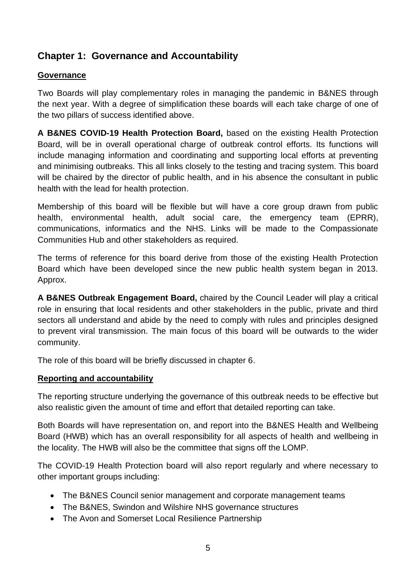# **Chapter 1: Governance and Accountability**

## **Governance**

Two Boards will play complementary roles in managing the pandemic in B&NES through the next year. With a degree of simplification these boards will each take charge of one of the two pillars of success identified above.

**A B&NES COVID-19 Health Protection Board,** based on the existing Health Protection Board, will be in overall operational charge of outbreak control efforts. Its functions will include managing information and coordinating and supporting local efforts at preventing and minimising outbreaks. This all links closely to the testing and tracing system. This board will be chaired by the director of public health, and in his absence the consultant in public health with the lead for health protection.

Membership of this board will be flexible but will have a core group drawn from public health, environmental health, adult social care, the emergency team (EPRR), communications, informatics and the NHS. Links will be made to the Compassionate Communities Hub and other stakeholders as required.

The terms of reference for this board derive from those of the existing Health Protection Board which have been developed since the new public health system began in 2013. Approx.

**A B&NES Outbreak Engagement Board,** chaired by the Council Leader will play a critical role in ensuring that local residents and other stakeholders in the public, private and third sectors all understand and abide by the need to comply with rules and principles designed to prevent viral transmission. The main focus of this board will be outwards to the wider community.

The role of this board will be briefly discussed in chapter 6.

## **Reporting and accountability**

The reporting structure underlying the governance of this outbreak needs to be effective but also realistic given the amount of time and effort that detailed reporting can take.

Both Boards will have representation on, and report into the B&NES Health and Wellbeing Board (HWB) which has an overall responsibility for all aspects of health and wellbeing in the locality. The HWB will also be the committee that signs off the LOMP.

The COVID-19 Health Protection board will also report regularly and where necessary to other important groups including:

- The B&NES Council senior management and corporate management teams
- The B&NES, Swindon and Wilshire NHS governance structures
- The Avon and Somerset Local Resilience Partnership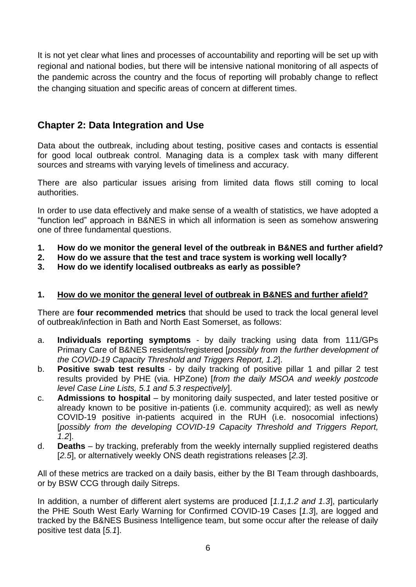It is not yet clear what lines and processes of accountability and reporting will be set up with regional and national bodies, but there will be intensive national monitoring of all aspects of the pandemic across the country and the focus of reporting will probably change to reflect the changing situation and specific areas of concern at different times.

# **Chapter 2: Data Integration and Use**

Data about the outbreak, including about testing, positive cases and contacts is essential for good local outbreak control. Managing data is a complex task with many different sources and streams with varying levels of timeliness and accuracy.

There are also particular issues arising from limited data flows still coming to local authorities.

In order to use data effectively and make sense of a wealth of statistics, we have adopted a "function led" approach in B&NES in which all information is seen as somehow answering one of three fundamental questions.

- **1. How do we monitor the general level of the outbreak in B&NES and further afield?**
- **2. How do we assure that the test and trace system is working well locally?**
- **3. How do we identify localised outbreaks as early as possible?**

### **1. How do we monitor the general level of outbreak in B&NES and further afield?**

There are **four recommended metrics** that should be used to track the local general level of outbreak/infection in Bath and North East Somerset, as follows:

- a. **Individuals reporting symptoms** by daily tracking using data from 111/GPs Primary Care of B&NES residents/registered [*possibly from the further development of the COVID-19 Capacity Threshold and Triggers Report, 1.2*].
- b. **Positive swab test results** by daily tracking of positive pillar 1 and pillar 2 test results provided by PHE (via. HPZone) [*from the daily MSOA and weekly postcode level Case Line Lists, 5.1 and 5.3 respectively*].
- c. **Admissions to hospital** by monitoring daily suspected, and later tested positive or already known to be positive in-patients (i.e. community acquired); as well as newly COVID-19 positive in-patients acquired in the RUH (i.e. nosocomial infections) [*possibly from the developing COVID-19 Capacity Threshold and Triggers Report, 1.2*].
- d. **Deaths** by tracking, preferably from the weekly internally supplied registered deaths [*2.5*], or alternatively weekly ONS death registrations releases [*2.3*].

All of these metrics are tracked on a daily basis, either by the BI Team through dashboards, or by BSW CCG through daily Sitreps.

In addition, a number of different alert systems are produced [*1.1,1.2 and 1.3*], particularly the PHE South West Early Warning for Confirmed COVID-19 Cases [*1.3*], are logged and tracked by the B&NES Business Intelligence team, but some occur after the release of daily positive test data [*5.1*].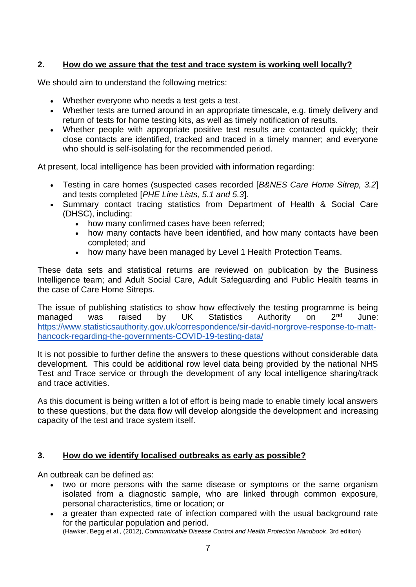## **2. How do we assure that the test and trace system is working well locally?**

We should aim to understand the following metrics:

- Whether everyone who needs a test gets a test.
- Whether tests are turned around in an appropriate timescale, e.g. timely delivery and return of tests for home testing kits, as well as timely notification of results.
- Whether people with appropriate positive test results are contacted quickly; their close contacts are identified, tracked and traced in a timely manner; and everyone who should is self-isolating for the recommended period.

At present, local intelligence has been provided with information regarding:

- Testing in care homes (suspected cases recorded [*B&NES Care Home Sitrep, 3.2*] and tests completed [*PHE Line Lists, 5.1 and 5.3*].
- Summary contact tracing statistics from Department of Health & Social Care (DHSC), including:
	- how many confirmed cases have been referred;
	- how many contacts have been identified, and how many contacts have been completed; and
	- how many have been managed by Level 1 Health Protection Teams.

These data sets and statistical returns are reviewed on publication by the Business Intelligence team; and Adult Social Care, Adult Safeguarding and Public Health teams in the case of Care Home Sitreps.

The issue of publishing statistics to show how effectively the testing programme is being managed was raised by UK Statistics Authority on 2<sup>nd</sup> June[:](https://www.statisticsauthority.gov.uk/correspondence/sir-david-norgrove-response-to-matt-hancock-regarding-the-governments-covid-19-testing-data/) [https://www.statisticsauthority.gov.uk/correspondence/sir-david-norgrove-response-to-matt](https://www.statisticsauthority.gov.uk/correspondence/sir-david-norgrove-response-to-matt-hancock-regarding-the-governments-covid-19-testing-data/)[hancock-regarding-the-governments-COVID-19-testing-data/](https://www.statisticsauthority.gov.uk/correspondence/sir-david-norgrove-response-to-matt-hancock-regarding-the-governments-covid-19-testing-data/)

It is not possible to further define the answers to these questions without considerable data development. This could be additional row level data being provided by the national NHS Test and Trace service or through the development of any local intelligence sharing/track and trace activities.

As this document is being written a lot of effort is being made to enable timely local answers to these questions, but the data flow will develop alongside the development and increasing capacity of the test and trace system itself.

#### **3. How do we identify localised outbreaks as early as possible?**

An outbreak can be defined as:

- two or more persons with the same disease or symptoms or the same organism isolated from a diagnostic sample, who are linked through common exposure, personal characteristics, time or location; or
- a greater than expected rate of infection compared with the usual background rate for the particular population and period.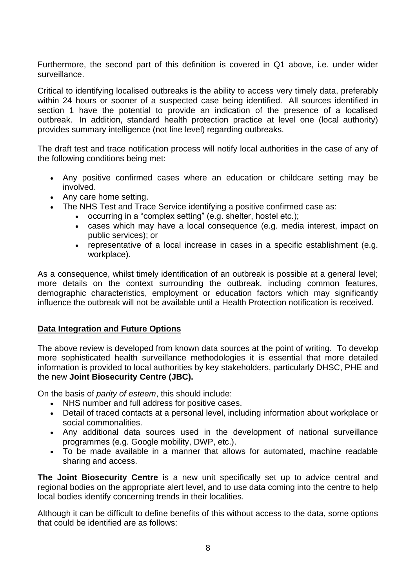Furthermore, the second part of this definition is covered in Q1 above, i.e. under wider surveillance.

Critical to identifying localised outbreaks is the ability to access very timely data, preferably within 24 hours or sooner of a suspected case being identified. All sources identified in section 1 have the potential to provide an indication of the presence of a localised outbreak. In addition, standard health protection practice at level one (local authority) provides summary intelligence (not line level) regarding outbreaks.

The draft test and trace notification process will notify local authorities in the case of any of the following conditions being met:

- Any positive confirmed cases where an education or childcare setting may be involved.
- Any care home setting.
- The NHS Test and Trace Service identifying a positive confirmed case as:
	- occurring in a "complex setting" (e.g. shelter, hostel etc.);
		- cases which may have a local consequence (e.g. media interest, impact on public services); or
		- representative of a local increase in cases in a specific establishment (e.g. workplace).

As a consequence, whilst timely identification of an outbreak is possible at a general level; more details on the context surrounding the outbreak, including common features, demographic characteristics, employment or education factors which may significantly influence the outbreak will not be available until a Health Protection notification is received.

## **Data Integration and Future Options**

The above review is developed from known data sources at the point of writing. To develop more sophisticated health surveillance methodologies it is essential that more detailed information is provided to local authorities by key stakeholders, particularly DHSC, PHE and the new **Joint Biosecurity Centre (JBC).**

On the basis of *parity of esteem*, this should include:

- NHS number and full address for positive cases.
- Detail of traced contacts at a personal level, including information about workplace or social commonalities.
- Any additional data sources used in the development of national surveillance programmes (e.g. Google mobility, DWP, etc.).
- To be made available in a manner that allows for automated, machine readable sharing and access.

**The Joint Biosecurity Centre** is a new unit specifically set up to advice central and regional bodies on the appropriate alert level, and to use data coming into the centre to help local bodies identify concerning trends in their localities.

Although it can be difficult to define benefits of this without access to the data, some options that could be identified are as follows: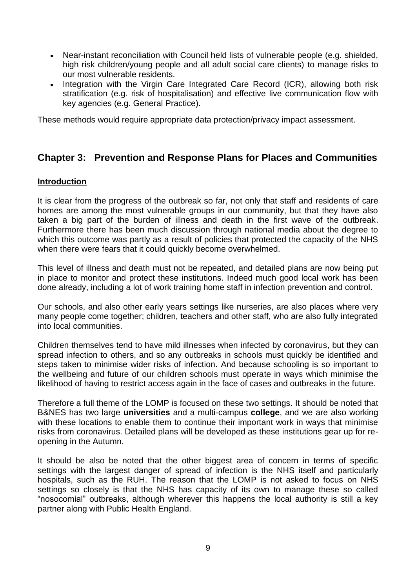- Near-instant reconciliation with Council held lists of vulnerable people (e.g. shielded, high risk children/young people and all adult social care clients) to manage risks to our most vulnerable residents.
- Integration with the Virgin Care Integrated Care Record (ICR), allowing both risk stratification (e.g. risk of hospitalisation) and effective live communication flow with key agencies (e.g. General Practice).

These methods would require appropriate data protection/privacy impact assessment.

## **Chapter 3: Prevention and Response Plans for Places and Communities**

#### **Introduction**

It is clear from the progress of the outbreak so far, not only that staff and residents of care homes are among the most vulnerable groups in our community, but that they have also taken a big part of the burden of illness and death in the first wave of the outbreak. Furthermore there has been much discussion through national media about the degree to which this outcome was partly as a result of policies that protected the capacity of the NHS when there were fears that it could quickly become overwhelmed.

This level of illness and death must not be repeated, and detailed plans are now being put in place to monitor and protect these institutions. Indeed much good local work has been done already, including a lot of work training home staff in infection prevention and control.

Our schools, and also other early years settings like nurseries, are also places where very many people come together; children, teachers and other staff, who are also fully integrated into local communities.

Children themselves tend to have mild illnesses when infected by coronavirus, but they can spread infection to others, and so any outbreaks in schools must quickly be identified and steps taken to minimise wider risks of infection. And because schooling is so important to the wellbeing and future of our children schools must operate in ways which minimise the likelihood of having to restrict access again in the face of cases and outbreaks in the future.

Therefore a full theme of the LOMP is focused on these two settings. It should be noted that B&NES has two large **universities** and a multi-campus **college**, and we are also working with these locations to enable them to continue their important work in ways that minimise risks from coronavirus. Detailed plans will be developed as these institutions gear up for reopening in the Autumn.

It should be also be noted that the other biggest area of concern in terms of specific settings with the largest danger of spread of infection is the NHS itself and particularly hospitals, such as the RUH. The reason that the LOMP is not asked to focus on NHS settings so closely is that the NHS has capacity of its own to manage these so called "nosocomial" outbreaks, although wherever this happens the local authority is still a key partner along with Public Health England.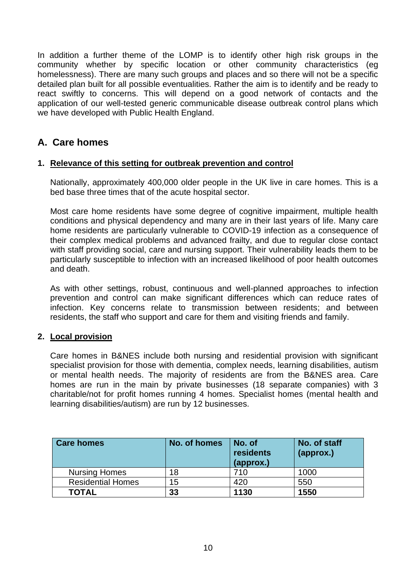In addition a further theme of the LOMP is to identify other high risk groups in the community whether by specific location or other community characteristics (eg homelessness). There are many such groups and places and so there will not be a specific detailed plan built for all possible eventualities. Rather the aim is to identify and be ready to react swiftly to concerns. This will depend on a good network of contacts and the application of our well-tested generic communicable disease outbreak control plans which we have developed with Public Health England.

# **A. Care homes**

#### **1. Relevance of this setting for outbreak prevention and control**

Nationally, approximately 400,000 older people in the UK live in care homes. This is a bed base three times that of the acute hospital sector.

Most care home residents have some degree of cognitive impairment, multiple health conditions and physical dependency and many are in their last years of life. Many care home residents are particularly vulnerable to COVID-19 infection as a consequence of their complex medical problems and advanced frailty, and due to regular close contact with staff providing social, care and nursing support. Their vulnerability leads them to be particularly susceptible to infection with an increased likelihood of poor health outcomes and death.

As with other settings, robust, continuous and well-planned approaches to infection prevention and control can make significant differences which can reduce rates of infection. Key concerns relate to transmission between residents; and between residents, the staff who support and care for them and visiting friends and family.

## **2. Local provision**

Care homes in B&NES include both nursing and residential provision with significant specialist provision for those with dementia, complex needs, learning disabilities, autism or mental health needs. The majority of residents are from the B&NES area. Care homes are run in the main by private businesses (18 separate companies) with 3 charitable/not for profit homes running 4 homes. Specialist homes (mental health and learning disabilities/autism) are run by 12 businesses.

| <b>Care homes</b>        | No. of homes | No. of<br>residents<br>(approx.) | No. of staff<br>(approx.) |
|--------------------------|--------------|----------------------------------|---------------------------|
| <b>Nursing Homes</b>     | 18           | 710                              | 1000                      |
| <b>Residential Homes</b> | 15           | 420                              | 550                       |
| TOTAL                    | 33           | 1130                             | 1550                      |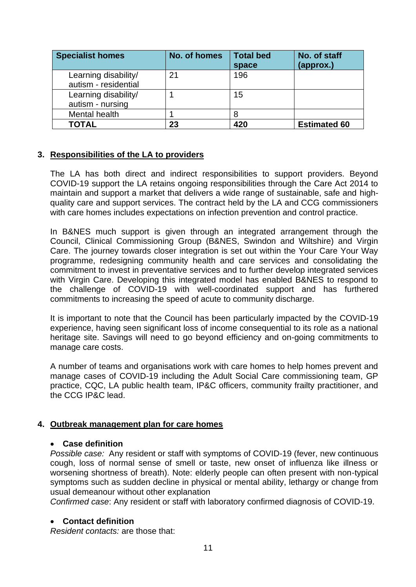| <b>Specialist homes</b>                      | No. of homes | <b>Total bed</b><br>space | No. of staff<br>(approx.) |
|----------------------------------------------|--------------|---------------------------|---------------------------|
| Learning disability/<br>autism - residential | 21           | 196                       |                           |
| Learning disability/<br>autism - nursing     |              | 15                        |                           |
| Mental health                                |              | 8                         |                           |
| <b>TOTAL</b>                                 | 23           | 420                       | <b>Estimated 60</b>       |

#### **3. Responsibilities of the LA to providers**

The LA has both direct and indirect responsibilities to support providers. Beyond COVID-19 support the LA retains ongoing responsibilities through the Care Act 2014 to maintain and support a market that delivers a wide range of sustainable, safe and highquality care and support services. The contract held by the LA and CCG commissioners with care homes includes expectations on infection prevention and control practice.

In B&NES much support is given through an integrated arrangement through the Council, Clinical Commissioning Group (B&NES, Swindon and Wiltshire) and Virgin Care. The journey towards closer integration is set out within the Your Care Your Way programme, redesigning community health and care services and consolidating the commitment to invest in preventative services and to further develop integrated services with Virgin Care. Developing this integrated model has enabled B&NES to respond to the challenge of COVID-19 with well-coordinated support and has furthered commitments to increasing the speed of acute to community discharge.

It is important to note that the Council has been particularly impacted by the COVID-19 experience, having seen significant loss of income consequential to its role as a national heritage site. Savings will need to go beyond efficiency and on-going commitments to manage care costs.

A number of teams and organisations work with care homes to help homes prevent and manage cases of COVID-19 including the Adult Social Care commissioning team, GP practice, CQC, LA public health team, IP&C officers, community frailty practitioner, and the CCG IP&C lead.

#### **4. Outbreak management plan for care homes**

#### • **Case definition**

*Possible case:* Any resident or staff with symptoms of COVID-19 (fever, new continuous cough, loss of normal sense of smell or taste, new onset of influenza like illness or worsening shortness of breath). Note: elderly people can often present with non-typical symptoms such as sudden decline in physical or mental ability, lethargy or change from usual demeanour without other explanation

*Confirmed case*: Any resident or staff with laboratory confirmed diagnosis of COVID-19.

#### • **Contact definition**

*Resident contacts:* are those that: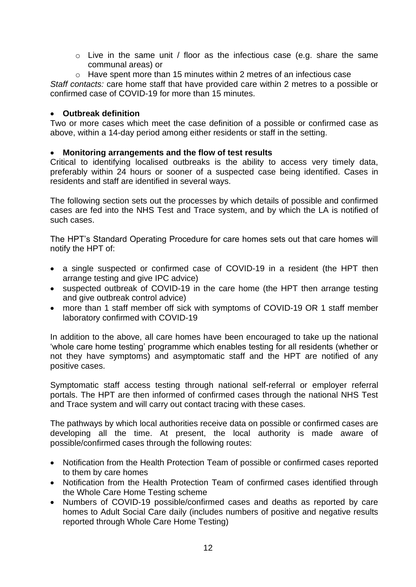- o Live in the same unit / floor as the infectious case (e.g. share the same communal areas) or
- o Have spent more than 15 minutes within 2 metres of an infectious case

*Staff contacts:* care home staff that have provided care within 2 metres to a possible or confirmed case of COVID-19 for more than 15 minutes.

#### • **Outbreak definition**

Two or more cases which meet the case definition of a possible or confirmed case as above, within a 14-day period among either residents or staff in the setting.

#### • **Monitoring arrangements and the flow of test results**

Critical to identifying localised outbreaks is the ability to access very timely data, preferably within 24 hours or sooner of a suspected case being identified. Cases in residents and staff are identified in several ways.

The following section sets out the processes by which details of possible and confirmed cases are fed into the NHS Test and Trace system, and by which the LA is notified of such cases.

The HPT's Standard Operating Procedure for care homes sets out that care homes will notify the HPT of:

- a single suspected or confirmed case of COVID-19 in a resident (the HPT then arrange testing and give IPC advice)
- suspected outbreak of COVID-19 in the care home (the HPT then arrange testing and give outbreak control advice)
- more than 1 staff member off sick with symptoms of COVID-19 OR 1 staff member laboratory confirmed with COVID-19

In addition to the above, all care homes have been encouraged to take up the national 'whole care home testing' programme which enables testing for all residents (whether or not they have symptoms) and asymptomatic staff and the HPT are notified of any positive cases.

Symptomatic staff access testing through national self-referral or employer referral portals. The HPT are then informed of confirmed cases through the national NHS Test and Trace system and will carry out contact tracing with these cases.

The pathways by which local authorities receive data on possible or confirmed cases are developing all the time. At present, the local authority is made aware of possible/confirmed cases through the following routes:

- Notification from the Health Protection Team of possible or confirmed cases reported to them by care homes
- Notification from the Health Protection Team of confirmed cases identified through the Whole Care Home Testing scheme
- Numbers of COVID-19 possible/confirmed cases and deaths as reported by care homes to Adult Social Care daily (includes numbers of positive and negative results reported through Whole Care Home Testing)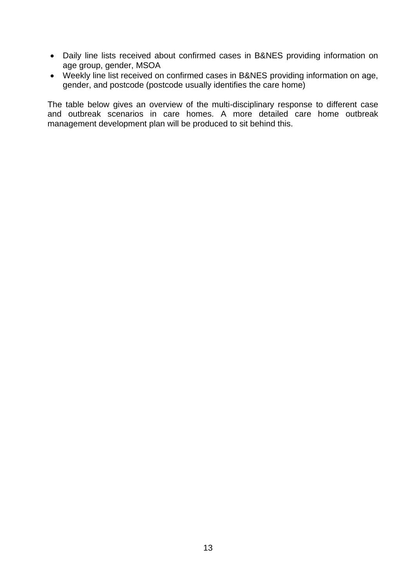- Daily line lists received about confirmed cases in B&NES providing information on age group, gender, MSOA
- Weekly line list received on confirmed cases in B&NES providing information on age, gender, and postcode (postcode usually identifies the care home)

The table below gives an overview of the multi-disciplinary response to different case and outbreak scenarios in care homes. A more detailed care home outbreak management development plan will be produced to sit behind this.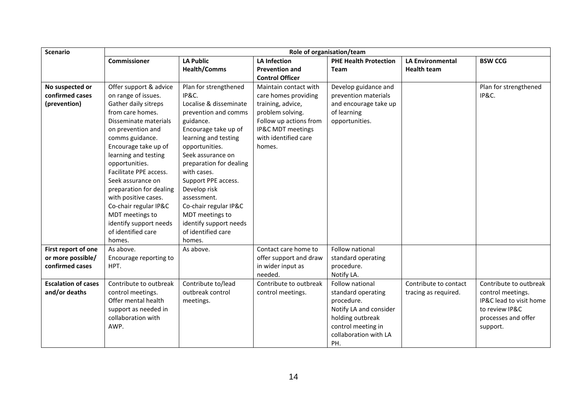| <b>Scenario</b>            | Role of organisation/team |                         |                        |                                             |                         |                         |
|----------------------------|---------------------------|-------------------------|------------------------|---------------------------------------------|-------------------------|-------------------------|
|                            | <b>Commissioner</b>       | <b>LA Public</b>        | <b>LA Infection</b>    | <b>PHE Health Protection</b>                | <b>LA Environmental</b> | <b>BSW CCG</b>          |
|                            |                           | <b>Health/Comms</b>     | <b>Prevention and</b>  | Team                                        | <b>Health team</b>      |                         |
|                            |                           |                         | <b>Control Officer</b> |                                             |                         |                         |
| No suspected or            | Offer support & advice    | Plan for strengthened   | Maintain contact with  | Develop guidance and                        |                         | Plan for strengthened   |
| confirmed cases            | on range of issues.       | IP&C.                   | care homes providing   | prevention materials                        |                         | IP&C.                   |
| (prevention)               | Gather daily sitreps      | Localise & disseminate  | training, advice,      | and encourage take up                       |                         |                         |
|                            | from care homes.          | prevention and comms    | problem solving.       | of learning                                 |                         |                         |
|                            | Disseminate materials     | guidance.               | Follow up actions from | opportunities.                              |                         |                         |
|                            | on prevention and         | Encourage take up of    | IP&C MDT meetings      |                                             |                         |                         |
|                            | comms guidance.           | learning and testing    | with identified care   |                                             |                         |                         |
|                            | Encourage take up of      | opportunities.          | homes.                 |                                             |                         |                         |
|                            | learning and testing      | Seek assurance on       |                        |                                             |                         |                         |
|                            | opportunities.            | preparation for dealing |                        |                                             |                         |                         |
|                            | Facilitate PPE access.    | with cases.             |                        |                                             |                         |                         |
|                            | Seek assurance on         | Support PPE access.     |                        |                                             |                         |                         |
|                            | preparation for dealing   | Develop risk            |                        |                                             |                         |                         |
|                            | with positive cases.      | assessment.             |                        |                                             |                         |                         |
|                            | Co-chair regular IP&C     | Co-chair regular IP&C   |                        |                                             |                         |                         |
|                            | MDT meetings to           | MDT meetings to         |                        |                                             |                         |                         |
|                            | identify support needs    | identify support needs  |                        |                                             |                         |                         |
|                            | of identified care        | of identified care      |                        |                                             |                         |                         |
|                            | homes.                    | homes.                  |                        |                                             |                         |                         |
| First report of one        | As above.                 | As above.               | Contact care home to   | Follow national                             |                         |                         |
| or more possible/          | Encourage reporting to    |                         | offer support and draw | standard operating                          |                         |                         |
| confirmed cases            | HPT.                      |                         | in wider input as      | procedure.                                  |                         |                         |
|                            |                           |                         | needed.                | Notify LA.                                  |                         |                         |
| <b>Escalation of cases</b> | Contribute to outbreak    | Contribute to/lead      | Contribute to outbreak | Follow national                             | Contribute to contact   | Contribute to outbreak  |
| and/or deaths              | control meetings.         | outbreak control        | control meetings.      | standard operating                          | tracing as required.    | control meetings.       |
|                            | Offer mental health       | meetings.               |                        | procedure.                                  |                         | IP&C lead to visit home |
|                            | support as needed in      |                         |                        | Notify LA and consider                      |                         | to review IP&C          |
|                            | collaboration with        |                         |                        | holding outbreak                            |                         | processes and offer     |
|                            | AWP.                      |                         |                        | control meeting in<br>collaboration with LA |                         | support.                |
|                            |                           |                         |                        |                                             |                         |                         |
|                            |                           |                         |                        | PH.                                         |                         |                         |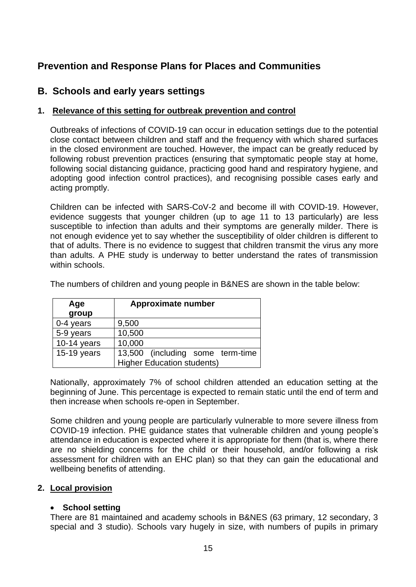# **Prevention and Response Plans for Places and Communities**

## **B. Schools and early years settings**

#### **1. Relevance of this setting for outbreak prevention and control**

Outbreaks of infections of COVID-19 can occur in education settings due to the potential close contact between children and staff and the frequency with which shared surfaces in the closed environment are touched. However, the impact can be greatly reduced by following robust prevention practices (ensuring that symptomatic people stay at home, following social distancing guidance, practicing good hand and respiratory hygiene, and adopting good infection control practices), and recognising possible cases early and acting promptly.

Children can be infected with SARS-CoV-2 and become ill with COVID-19. However, evidence suggests that younger children (up to age 11 to 13 particularly) are less susceptible to infection than adults and their symptoms are generally milder. There is not enough evidence yet to say whether the susceptibility of older children is different to that of adults. There is no evidence to suggest that children transmit the virus any more than adults. A PHE study is underway to better understand the rates of transmission within schools.

| Age           | <b>Approximate number</b>         |  |  |  |
|---------------|-----------------------------------|--|--|--|
| group         |                                   |  |  |  |
| $0-4$ years   | 9,500                             |  |  |  |
| 5-9 years     | 10,500                            |  |  |  |
| $10-14$ years | 10,000                            |  |  |  |
| 15-19 years   | 13,500 (including some term-time  |  |  |  |
|               | <b>Higher Education students)</b> |  |  |  |

The numbers of children and young people in B&NES are shown in the table below:

Nationally, approximately 7% of school children attended an education setting at the beginning of June. This percentage is expected to remain static until the end of term and then increase when schools re-open in September.

Some children and young people are particularly vulnerable to more severe illness from COVID-19 infection. PHE guidance states that vulnerable children and young people's attendance in education is expected where it is appropriate for them (that is, where there are no shielding concerns for the child or their household, and/or following a risk assessment for children with an EHC plan) so that they can gain the educational and wellbeing benefits of attending.

## **2. Local provision**

#### • **School setting**

There are 81 maintained and academy schools in B&NES (63 primary, 12 secondary, 3 special and 3 studio). Schools vary hugely in size, with numbers of pupils in primary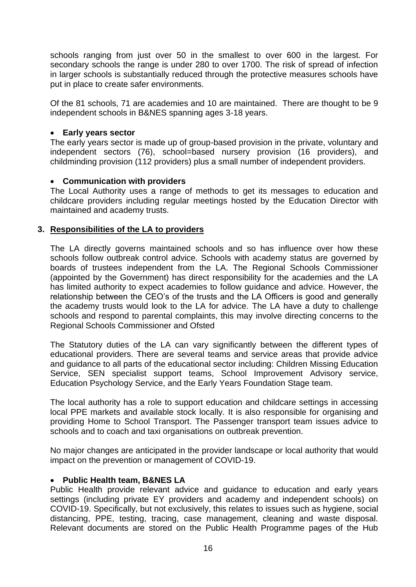schools ranging from just over 50 in the smallest to over 600 in the largest. For secondary schools the range is under 280 to over 1700. The risk of spread of infection in larger schools is substantially reduced through the protective measures schools have put in place to create safer environments.

Of the 81 schools, 71 are academies and 10 are maintained. There are thought to be 9 independent schools in B&NES spanning ages 3-18 years.

#### • **Early years sector**

The early years sector is made up of group-based provision in the private, voluntary and independent sectors (76), school=based nursery provision (16 providers), and childminding provision (112 providers) plus a small number of independent providers.

#### • **Communication with providers**

The Local Authority uses a range of methods to get its messages to education and childcare providers including regular meetings hosted by the Education Director with maintained and academy trusts.

#### **3. Responsibilities of the LA to providers**

The LA directly governs maintained schools and so has influence over how these schools follow outbreak control advice. Schools with academy status are governed by boards of trustees independent from the LA. The Regional Schools Commissioner (appointed by the Government) has direct responsibility for the academies and the LA has limited authority to expect academies to follow guidance and advice. However, the relationship between the CEO's of the trusts and the LA Officers is good and generally the academy trusts would look to the LA for advice. The LA have a duty to challenge schools and respond to parental complaints, this may involve directing concerns to the Regional Schools Commissioner and Ofsted

The Statutory duties of the LA can vary significantly between the different types of educational providers. There are several teams and service areas that provide advice and guidance to all parts of the educational sector including: Children Missing Education Service, SEN specialist support teams, School Improvement Advisory service, Education Psychology Service, and the Early Years Foundation Stage team.

The local authority has a role to support education and childcare settings in accessing local PPE markets and available stock locally. It is also responsible for organising and providing Home to School Transport. The Passenger transport team issues advice to schools and to coach and taxi organisations on outbreak prevention.

No major changes are anticipated in the provider landscape or local authority that would impact on the prevention or management of COVID-19.

#### • **Public Health team, B&NES LA**

Public Health provide relevant advice and guidance to education and early years settings (including private EY providers and academy and independent schools) on COVID-19. Specifically, but not exclusively, this relates to issues such as hygiene, social distancing, PPE, testing, tracing, case management, cleaning and waste disposal. Relevant documents are stored on the Public Health Programme pages of the Hub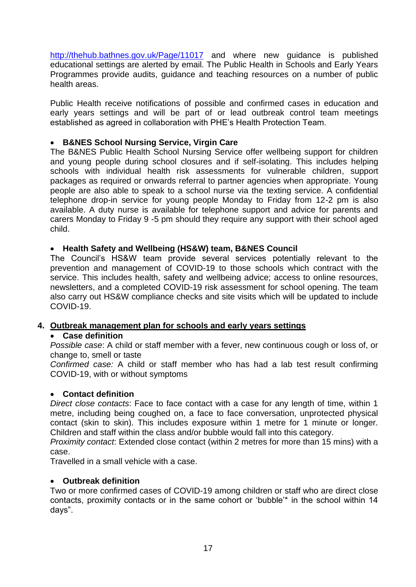<http://thehub.bathnes.gov.uk/Page/11017> and where new guidance is published educational settings are alerted by email. The Public Health in Schools and Early Years Programmes provide audits, guidance and teaching resources on a number of public health areas.

Public Health receive notifications of possible and confirmed cases in education and early years settings and will be part of or lead outbreak control team meetings established as agreed in collaboration with PHE's Health Protection Team.

### • **B&NES School Nursing Service, Virgin Care**

The B&NES Public Health School Nursing Service offer wellbeing support for children and young people during school closures and if self-isolating. This includes helping schools with individual health risk assessments for vulnerable children, support packages as required or onwards referral to partner agencies when appropriate. Young people are also able to speak to a school nurse via the texting service. A confidential telephone drop-in service for young people Monday to Friday from 12-2 pm is also available. A duty nurse is available for telephone support and advice for parents and carers Monday to Friday 9 -5 pm should they require any support with their school aged child.

#### • **Health Safety and Wellbeing (HS&W) team, B&NES Council**

The Council's HS&W team provide several services potentially relevant to the prevention and management of COVID-19 to those schools which contract with the service. This includes health, safety and wellbeing advice; access to online resources, newsletters, and a completed COVID-19 risk assessment for school opening. The team also carry out HS&W compliance checks and site visits which will be updated to include COVID-19.

#### **4. Outbreak management plan for schools and early years settings**

#### • **Case definition**

*Possible case*: A child or staff member with a fever, new continuous cough or loss of, or change to, smell or taste

*Confirmed case:* A child or staff member who has had a lab test result confirming COVID-19, with or without symptoms

#### • **Contact definition**

*Direct close contacts*: Face to face contact with a case for any length of time, within 1 metre, including being coughed on, a face to face conversation, unprotected physical contact (skin to skin). This includes exposure within 1 metre for 1 minute or longer. Children and staff within the class and/or bubble would fall into this category.

*Proximity contact*: Extended close contact (within 2 metres for more than 15 mins) with a case.

Travelled in a small vehicle with a case.

#### • **Outbreak definition**

Two or more confirmed cases of COVID-19 among children or staff who are direct close contacts, proximity contacts or in the same cohort or 'bubble'\* in the school within 14 days".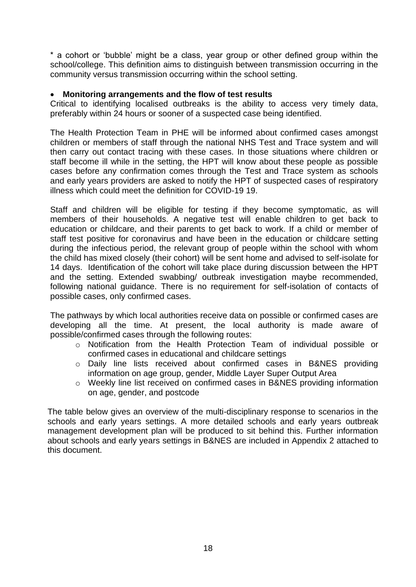\* a cohort or 'bubble' might be a class, year group or other defined group within the school/college. This definition aims to distinguish between transmission occurring in the community versus transmission occurring within the school setting.

#### • **Monitoring arrangements and the flow of test results**

Critical to identifying localised outbreaks is the ability to access very timely data, preferably within 24 hours or sooner of a suspected case being identified.

The Health Protection Team in PHE will be informed about confirmed cases amongst children or members of staff through the national NHS Test and Trace system and will then carry out contact tracing with these cases. In those situations where children or staff become ill while in the setting, the HPT will know about these people as possible cases before any confirmation comes through the Test and Trace system as schools and early years providers are asked to notify the HPT of suspected cases of respiratory illness which could meet the definition for COVID-19 19.

Staff and children will be eligible for testing if they become symptomatic, as will members of their households. A negative test will enable children to get back to education or childcare, and their parents to get back to work. If a child or member of staff test positive for coronavirus and have been in the education or childcare setting during the infectious period, the relevant group of people within the school with whom the child has mixed closely (their cohort) will be sent home and advised to self-isolate for 14 days. Identification of the cohort will take place during discussion between the HPT and the setting. Extended swabbing/ outbreak investigation maybe recommended, following national guidance. There is no requirement for self-isolation of contacts of possible cases, only confirmed cases.

The pathways by which local authorities receive data on possible or confirmed cases are developing all the time. At present, the local authority is made aware of possible/confirmed cases through the following routes:

- o Notification from the Health Protection Team of individual possible or confirmed cases in educational and childcare settings
- o Daily line lists received about confirmed cases in B&NES providing information on age group, gender, Middle Layer Super Output Area
- o Weekly line list received on confirmed cases in B&NES providing information on age, gender, and postcode

The table below gives an overview of the multi-disciplinary response to scenarios in the schools and early years settings. A more detailed schools and early years outbreak management development plan will be produced to sit behind this. Further information about schools and early years settings in B&NES are included in Appendix 2 attached to this document.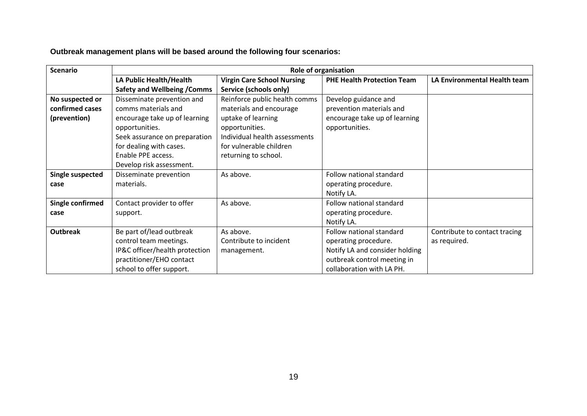**Outbreak management plans will be based around the following four scenarios:**

| <b>Scenario</b>                                    | <b>Role of organisation</b>                                                                                                                                                                                        |                                                                                                                                                                                      |                                                                                                     |                               |  |
|----------------------------------------------------|--------------------------------------------------------------------------------------------------------------------------------------------------------------------------------------------------------------------|--------------------------------------------------------------------------------------------------------------------------------------------------------------------------------------|-----------------------------------------------------------------------------------------------------|-------------------------------|--|
|                                                    | LA Public Health/Health                                                                                                                                                                                            | <b>Virgin Care School Nursing</b>                                                                                                                                                    | <b>PHE Health Protection Team</b>                                                                   | LA Environmental Health team  |  |
|                                                    | <b>Safety and Wellbeing / Comms</b>                                                                                                                                                                                | Service (schools only)                                                                                                                                                               |                                                                                                     |                               |  |
| No suspected or<br>confirmed cases<br>(prevention) | Disseminate prevention and<br>comms materials and<br>encourage take up of learning<br>opportunities.<br>Seek assurance on preparation<br>for dealing with cases.<br>Enable PPE access.<br>Develop risk assessment. | Reinforce public health comms<br>materials and encourage<br>uptake of learning<br>opportunities.<br>Individual health assessments<br>for vulnerable children<br>returning to school. | Develop guidance and<br>prevention materials and<br>encourage take up of learning<br>opportunities. |                               |  |
| <b>Single suspected</b>                            | Disseminate prevention                                                                                                                                                                                             | As above.                                                                                                                                                                            | Follow national standard                                                                            |                               |  |
| case                                               | materials.                                                                                                                                                                                                         |                                                                                                                                                                                      | operating procedure.                                                                                |                               |  |
|                                                    |                                                                                                                                                                                                                    |                                                                                                                                                                                      | Notify LA.                                                                                          |                               |  |
| Single confirmed                                   | Contact provider to offer                                                                                                                                                                                          | As above.                                                                                                                                                                            | Follow national standard                                                                            |                               |  |
| case                                               | support.                                                                                                                                                                                                           |                                                                                                                                                                                      | operating procedure.                                                                                |                               |  |
|                                                    |                                                                                                                                                                                                                    |                                                                                                                                                                                      | Notify LA.                                                                                          |                               |  |
| <b>Outbreak</b>                                    | Be part of/lead outbreak                                                                                                                                                                                           | As above.                                                                                                                                                                            | Follow national standard                                                                            | Contribute to contact tracing |  |
|                                                    | control team meetings.                                                                                                                                                                                             | Contribute to incident                                                                                                                                                               | operating procedure.                                                                                | as required.                  |  |
|                                                    | IP&C officer/health protection                                                                                                                                                                                     | management.                                                                                                                                                                          | Notify LA and consider holding                                                                      |                               |  |
|                                                    | practitioner/EHO contact                                                                                                                                                                                           |                                                                                                                                                                                      | outbreak control meeting in                                                                         |                               |  |
|                                                    | school to offer support.                                                                                                                                                                                           |                                                                                                                                                                                      | collaboration with LA PH.                                                                           |                               |  |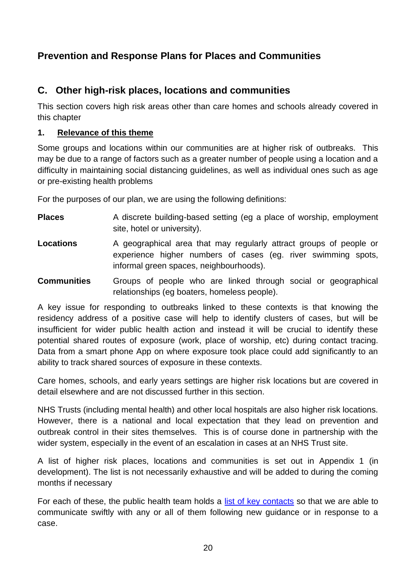# **Prevention and Response Plans for Places and Communities**

# **C. Other high-risk places, locations and communities**

This section covers high risk areas other than care homes and schools already covered in this chapter

## **1. Relevance of this theme**

Some groups and locations within our communities are at higher risk of outbreaks. This may be due to a range of factors such as a greater number of people using a location and a difficulty in maintaining social distancing guidelines, as well as individual ones such as age or pre-existing health problems

For the purposes of our plan, we are using the following definitions:

- **Places** A discrete building-based setting (eg a place of worship, employment site, hotel or university).
- **Locations** A geographical area that may regularly attract groups of people or experience higher numbers of cases (eg. river swimming spots, informal green spaces, neighbourhoods).
- **Communities** Groups of people who are linked through social or geographical relationships (eg boaters, homeless people).

A key issue for responding to outbreaks linked to these contexts is that knowing the residency address of a positive case will help to identify clusters of cases, but will be insufficient for wider public health action and instead it will be crucial to identify these potential shared routes of exposure (work, place of worship, etc) during contact tracing. Data from a smart phone App on where exposure took place could add significantly to an ability to track shared sources of exposure in these contexts.

Care homes, schools, and early years settings are higher risk locations but are covered in detail elsewhere and are not discussed further in this section.

NHS Trusts (including mental health) and other local hospitals are also higher risk locations. However, there is a national and local expectation that they lead on prevention and outbreak control in their sites themselves. This is of course done in partnership with the wider system, especially in the event of an escalation in cases at an NHS Trust site.

A list of higher risk places, locations and communities is set out in Appendix 1 (in development). The list is not necessarily exhaustive and will be added to during the coming months if necessary

For each of these, the public health team holds a [list of key contacts](file://///banes-shared/Shared$/Public%20Health%20Team/Public%20Health%20(New)/Health%20Protection/Outbreaks%20and%20Incidents/Coronavirus/Local%20Outbreak%20Management%20Plan/Vulnerable%20people/Stakeholder%20Contact%20List%20for%20LOMP.xlsx) so that we are able to communicate swiftly with any or all of them following new guidance or in response to a case.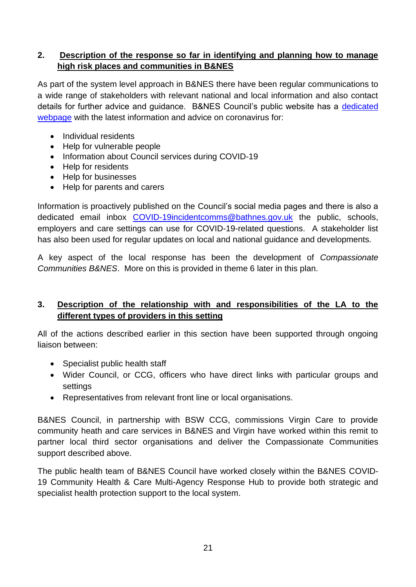## **2. Description of the response so far in identifying and planning how to manage high risk places and communities in B&NES**

As part of the system level approach in B&NES there have been regular communications to a wide range of stakeholders with relevant national and local information and also contact details for further advice and guidance. B&NES Council's public website has a [dedicated](https://beta.bathnes.gov.uk/coronavirus)  [webpage](https://beta.bathnes.gov.uk/coronavirus) with the latest information and advice on coronavirus for:

- Individual residents
- Help for vulnerable people
- Information about Council services during COVID-19
- Help for residents
- Help for businesses
- Help for parents and carers

Information is proactively published on the Council's social media pages and there is also a dedicated email inbox [COVID-19incidentcomms@bathnes.gov.uk](mailto:COVID-19incidentcomms@bathnes.gov.uk) the public, schools, employers and care settings can use for COVID-19-related questions. A stakeholder list has also been used for regular updates on local and national guidance and developments.

A key aspect of the local response has been the development of *Compassionate Communities B&NES*. More on this is provided in theme 6 later in this plan.

## **3. Description of the relationship with and responsibilities of the LA to the different types of providers in this setting**

All of the actions described earlier in this section have been supported through ongoing liaison between:

- Specialist public health staff
- Wider Council, or CCG, officers who have direct links with particular groups and settings
- Representatives from relevant front line or local organisations.

B&NES Council, in partnership with BSW CCG, commissions Virgin Care to provide community heath and care services in B&NES and Virgin have worked within this remit to partner local third sector organisations and deliver the Compassionate Communities support described above.

The public health team of B&NES Council have worked closely within the B&NES COVID-19 Community Health & Care Multi-Agency Response Hub to provide both strategic and specialist health protection support to the local system.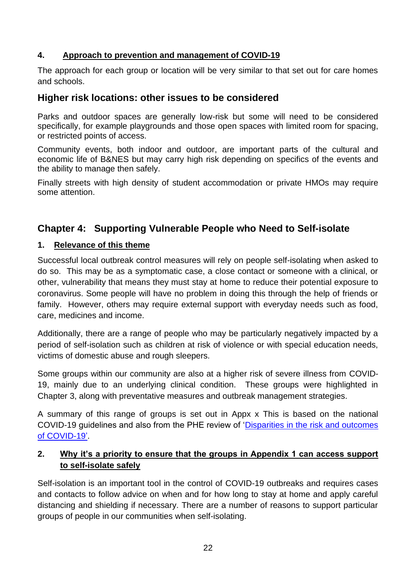## **4. Approach to prevention and management of COVID-19**

The approach for each group or location will be very similar to that set out for care homes and schools.

## **Higher risk locations: other issues to be considered**

Parks and outdoor spaces are generally low-risk but some will need to be considered specifically, for example playgrounds and those open spaces with limited room for spacing, or restricted points of access.

Community events, both indoor and outdoor, are important parts of the cultural and economic life of B&NES but may carry high risk depending on specifics of the events and the ability to manage then safely.

Finally streets with high density of student accommodation or private HMOs may require some attention.

# **Chapter 4: Supporting Vulnerable People who Need to Self-isolate**

## **1. Relevance of this theme**

Successful local outbreak control measures will rely on people self-isolating when asked to do so. This may be as a symptomatic case, a close contact or someone with a clinical, or other, vulnerability that means they must stay at home to reduce their potential exposure to coronavirus. Some people will have no problem in doing this through the help of friends or family. However, others may require external support with everyday needs such as food, care, medicines and income.

Additionally, there are a range of people who may be particularly negatively impacted by a period of self-isolation such as children at risk of violence or with special education needs, victims of domestic abuse and rough sleepers.

Some groups within our community are also at a higher risk of severe illness from COVID-19, mainly due to an underlying clinical condition. These groups were highlighted in Chapter 3, along with preventative measures and outbreak management strategies.

A summary of this range of groups is set out in Appx x This is based on the national COVID-19 guidelines and also from the PHE review of ['Disparities in the risk and outcomes](https://assets.publishing.service.gov.uk/government/uploads/system/uploads/attachment_data/file/890258/disparities_review.pdf)  [of COVID-19'.](https://assets.publishing.service.gov.uk/government/uploads/system/uploads/attachment_data/file/890258/disparities_review.pdf)

## **2. Why it's a priority to ensure that the groups in Appendix 1 can access support to self-isolate safely**

Self-isolation is an important tool in the control of COVID-19 outbreaks and requires cases and contacts to follow advice on when and for how long to stay at home and apply careful distancing and shielding if necessary. There are a number of reasons to support particular groups of people in our communities when self-isolating.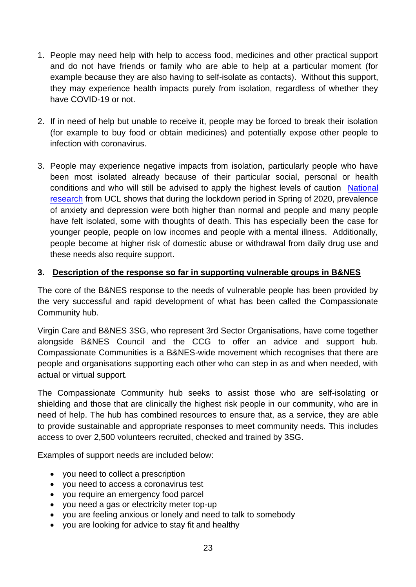- 1. People may need help with help to access food, medicines and other practical support and do not have friends or family who are able to help at a particular moment (for example because they are also having to self-isolate as contacts). Without this support, they may experience health impacts purely from isolation, regardless of whether they have COVID-19 or not.
- 2. If in need of help but unable to receive it, people may be forced to break their isolation (for example to buy food or obtain medicines) and potentially expose other people to infection with coronavirus.
- 3. People may experience negative impacts from isolation, particularly people who have been most isolated already because of their particular social, personal or health conditions and who will still be advised to apply the highest levels of caution [National](https://www.covidsocialstudy.org/results)  [research](https://www.covidsocialstudy.org/results) from UCL shows that during the lockdown period in Spring of 2020, prevalence of anxiety and depression were both higher than normal and people and many people have felt isolated, some with thoughts of death. This has especially been the case for younger people, people on low incomes and people with a mental illness. Additionally, people become at higher risk of domestic abuse or withdrawal from daily drug use and these needs also require support.

## **3. Description of the response so far in supporting vulnerable groups in B&NES**

The core of the B&NES response to the needs of vulnerable people has been provided by the very successful and rapid development of what has been called the Compassionate Community hub.

Virgin Care and B&NES 3SG, who represent 3rd Sector Organisations, have come together alongside B&NES Council and the CCG to offer an advice and support hub. Compassionate Communities is a B&NES-wide movement which recognises that there are people and organisations supporting each other who can step in as and when needed, with actual or virtual support.

The Compassionate Community hub seeks to assist those who are self-isolating or shielding and those that are clinically the highest risk people in our community, who are in need of help. The hub has combined resources to ensure that, as a service, they are able to provide sustainable and appropriate responses to meet community needs. This includes access to over 2,500 volunteers recruited, checked and trained by 3SG.

Examples of support needs are included below:

- you need to collect a prescription
- you need to access a coronavirus test
- you require an emergency food parcel
- you need a gas or electricity meter top-up
- you are feeling anxious or lonely and need to talk to somebody
- you are looking for advice to stay fit and healthy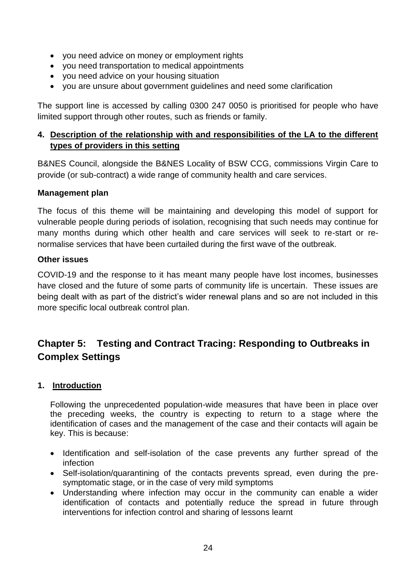- you need advice on money or employment rights
- you need transportation to medical appointments
- you need advice on your housing situation
- you are unsure about government guidelines and need some clarification

The support line is accessed by calling 0300 247 0050 is prioritised for people who have limited support through other routes, such as friends or family.

## **4. Description of the relationship with and responsibilities of the LA to the different types of providers in this setting**

B&NES Council, alongside the B&NES Locality of BSW CCG, commissions Virgin Care to provide (or sub-contract) a wide range of community health and care services.

## **Management plan**

The focus of this theme will be maintaining and developing this model of support for vulnerable people during periods of isolation, recognising that such needs may continue for many months during which other health and care services will seek to re-start or renormalise services that have been curtailed during the first wave of the outbreak.

## **Other issues**

COVID-19 and the response to it has meant many people have lost incomes, businesses have closed and the future of some parts of community life is uncertain. These issues are being dealt with as part of the district's wider renewal plans and so are not included in this more specific local outbreak control plan.

# **Chapter 5: Testing and Contract Tracing: Responding to Outbreaks in Complex Settings**

## **1. Introduction**

Following the unprecedented population-wide measures that have been in place over the preceding weeks, the country is expecting to return to a stage where the identification of cases and the management of the case and their contacts will again be key. This is because:

- Identification and self-isolation of the case prevents any further spread of the infection
- Self-isolation/quarantining of the contacts prevents spread, even during the presymptomatic stage, or in the case of very mild symptoms
- Understanding where infection may occur in the community can enable a wider identification of contacts and potentially reduce the spread in future through interventions for infection control and sharing of lessons learnt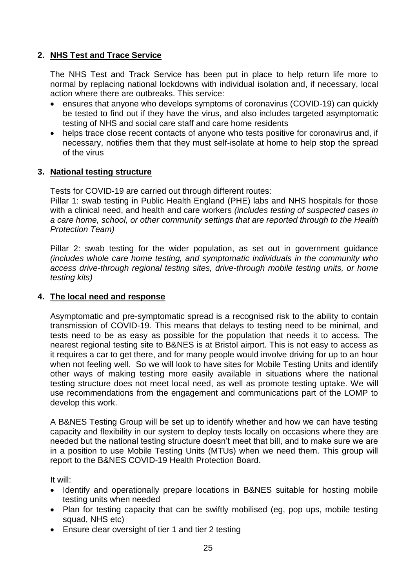## **2. NHS Test and Trace Service**

The NHS Test and Track Service has been put in place to help return life more to normal by replacing national lockdowns with individual isolation and, if necessary, local action where there are outbreaks. This service:

- ensures that anyone who develops symptoms of coronavirus (COVID-19) can quickly be tested to find out if they have the virus, and also includes targeted asymptomatic testing of NHS and social care staff and care home residents
- helps trace close recent contacts of anyone who tests positive for coronavirus and, if necessary, notifies them that they must self-isolate at home to help stop the spread of the virus

#### **3. National testing structure**

Tests for COVID-19 are carried out through different routes:

Pillar 1: swab testing in Public Health England (PHE) labs and NHS hospitals for those with a clinical need, and health and care workers *(includes testing of suspected cases in a care home, school, or other community settings that are reported through to the Health Protection Team)*

Pillar 2: swab testing for the wider population, as set out in government guidance *(includes whole care home testing, and symptomatic individuals in the community who access drive-through regional testing sites, drive-through mobile testing units, or home testing kits)*

#### **4. The local need and response**

Asymptomatic and pre-symptomatic spread is a recognised risk to the ability to contain transmission of COVID-19. This means that delays to testing need to be minimal, and tests need to be as easy as possible for the population that needs it to access. The nearest regional testing site to B&NES is at Bristol airport. This is not easy to access as it requires a car to get there, and for many people would involve driving for up to an hour when not feeling well. So we will look to have sites for Mobile Testing Units and identify other ways of making testing more easily available in situations where the national testing structure does not meet local need, as well as promote testing uptake. We will use recommendations from the engagement and communications part of the LOMP to develop this work.

A B&NES Testing Group will be set up to identify whether and how we can have testing capacity and flexibility in our system to deploy tests locally on occasions where they are needed but the national testing structure doesn't meet that bill, and to make sure we are in a position to use Mobile Testing Units (MTUs) when we need them. This group will report to the B&NES COVID-19 Health Protection Board.

It will:

- Identify and operationally prepare locations in B&NES suitable for hosting mobile testing units when needed
- Plan for testing capacity that can be swiftly mobilised (eg, pop ups, mobile testing squad, NHS etc)
- Ensure clear oversight of tier 1 and tier 2 testing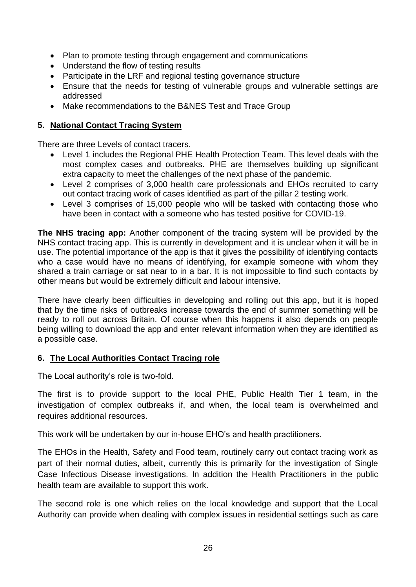- Plan to promote testing through engagement and communications
- Understand the flow of testing results
- Participate in the LRF and regional testing governance structure
- Ensure that the needs for testing of vulnerable groups and vulnerable settings are addressed
- Make recommendations to the B&NES Test and Trace Group

## **5. National Contact Tracing System**

There are three Levels of contact tracers.

- Level 1 includes the Regional PHE Health Protection Team. This level deals with the most complex cases and outbreaks. PHE are themselves building up significant extra capacity to meet the challenges of the next phase of the pandemic.
- Level 2 comprises of 3,000 health care professionals and EHOs recruited to carry out contact tracing work of cases identified as part of the pillar 2 testing work.
- Level 3 comprises of 15,000 people who will be tasked with contacting those who have been in contact with a someone who has tested positive for COVID-19.

**The NHS tracing app:** Another component of the tracing system will be provided by the NHS contact tracing app. This is currently in development and it is unclear when it will be in use. The potential importance of the app is that it gives the possibility of identifying contacts who a case would have no means of identifying, for example someone with whom they shared a train carriage or sat near to in a bar. It is not impossible to find such contacts by other means but would be extremely difficult and labour intensive.

There have clearly been difficulties in developing and rolling out this app, but it is hoped that by the time risks of outbreaks increase towards the end of summer something will be ready to roll out across Britain. Of course when this happens it also depends on people being willing to download the app and enter relevant information when they are identified as a possible case.

## **6. The Local Authorities Contact Tracing role**

The Local authority's role is two-fold.

The first is to provide support to the local PHE, Public Health Tier 1 team, in the investigation of complex outbreaks if, and when, the local team is overwhelmed and requires additional resources.

This work will be undertaken by our in-house EHO's and health practitioners.

The EHOs in the Health, Safety and Food team, routinely carry out contact tracing work as part of their normal duties, albeit, currently this is primarily for the investigation of Single Case Infectious Disease investigations. In addition the Health Practitioners in the public health team are available to support this work.

The second role is one which relies on the local knowledge and support that the Local Authority can provide when dealing with complex issues in residential settings such as care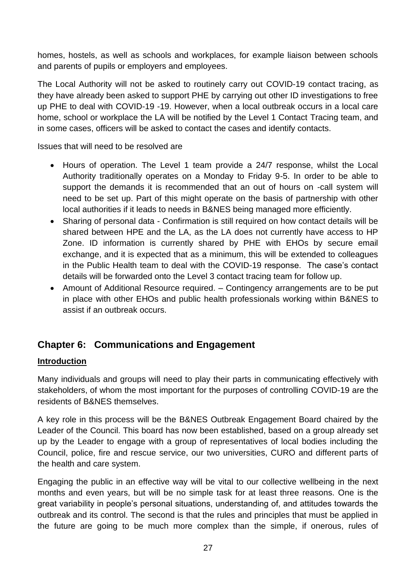homes, hostels, as well as schools and workplaces, for example liaison between schools and parents of pupils or employers and employees.

The Local Authority will not be asked to routinely carry out COVID-19 contact tracing, as they have already been asked to support PHE by carrying out other ID investigations to free up PHE to deal with COVID-19 -19. However, when a local outbreak occurs in a local care home, school or workplace the LA will be notified by the Level 1 Contact Tracing team, and in some cases, officers will be asked to contact the cases and identify contacts.

Issues that will need to be resolved are

- Hours of operation. The Level 1 team provide a 24/7 response, whilst the Local Authority traditionally operates on a Monday to Friday 9-5. In order to be able to support the demands it is recommended that an out of hours on -call system will need to be set up. Part of this might operate on the basis of partnership with other local authorities if it leads to needs in B&NES being managed more efficiently.
- Sharing of personal data Confirmation is still required on how contact details will be shared between HPE and the LA, as the LA does not currently have access to HP Zone. ID information is currently shared by PHE with EHOs by secure email exchange, and it is expected that as a minimum, this will be extended to colleagues in the Public Health team to deal with the COVID-19 response. The case's contact details will be forwarded onto the Level 3 contact tracing team for follow up.
- Amount of Additional Resource required. Contingency arrangements are to be put in place with other EHOs and public health professionals working within B&NES to assist if an outbreak occurs.

# **Chapter 6: Communications and Engagement**

## **Introduction**

Many individuals and groups will need to play their parts in communicating effectively with stakeholders, of whom the most important for the purposes of controlling COVID-19 are the residents of B&NES themselves.

A key role in this process will be the B&NES Outbreak Engagement Board chaired by the Leader of the Council. This board has now been established, based on a group already set up by the Leader to engage with a group of representatives of local bodies including the Council, police, fire and rescue service, our two universities, CURO and different parts of the health and care system.

Engaging the public in an effective way will be vital to our collective wellbeing in the next months and even years, but will be no simple task for at least three reasons. One is the great variability in people's personal situations, understanding of, and attitudes towards the outbreak and its control. The second is that the rules and principles that must be applied in the future are going to be much more complex than the simple, if onerous, rules of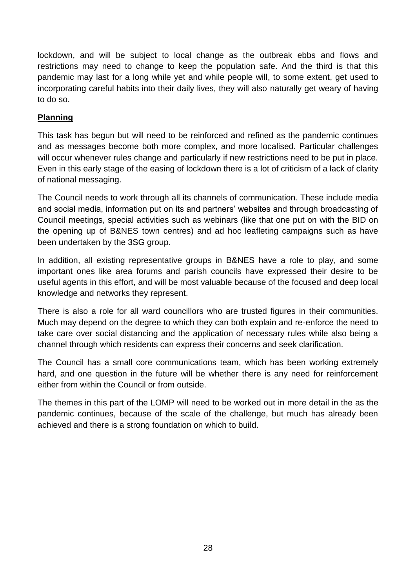lockdown, and will be subject to local change as the outbreak ebbs and flows and restrictions may need to change to keep the population safe. And the third is that this pandemic may last for a long while yet and while people will, to some extent, get used to incorporating careful habits into their daily lives, they will also naturally get weary of having to do so.

## **Planning**

This task has begun but will need to be reinforced and refined as the pandemic continues and as messages become both more complex, and more localised. Particular challenges will occur whenever rules change and particularly if new restrictions need to be put in place. Even in this early stage of the easing of lockdown there is a lot of criticism of a lack of clarity of national messaging.

The Council needs to work through all its channels of communication. These include media and social media, information put on its and partners' websites and through broadcasting of Council meetings, special activities such as webinars (like that one put on with the BID on the opening up of B&NES town centres) and ad hoc leafleting campaigns such as have been undertaken by the 3SG group.

In addition, all existing representative groups in B&NES have a role to play, and some important ones like area forums and parish councils have expressed their desire to be useful agents in this effort, and will be most valuable because of the focused and deep local knowledge and networks they represent.

There is also a role for all ward councillors who are trusted figures in their communities. Much may depend on the degree to which they can both explain and re-enforce the need to take care over social distancing and the application of necessary rules while also being a channel through which residents can express their concerns and seek clarification.

The Council has a small core communications team, which has been working extremely hard, and one question in the future will be whether there is any need for reinforcement either from within the Council or from outside.

The themes in this part of the LOMP will need to be worked out in more detail in the as the pandemic continues, because of the scale of the challenge, but much has already been achieved and there is a strong foundation on which to build.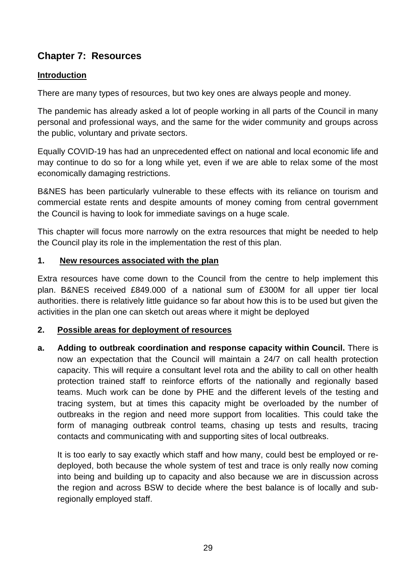# **Chapter 7: Resources**

## **Introduction**

There are many types of resources, but two key ones are always people and money.

The pandemic has already asked a lot of people working in all parts of the Council in many personal and professional ways, and the same for the wider community and groups across the public, voluntary and private sectors.

Equally COVID-19 has had an unprecedented effect on national and local economic life and may continue to do so for a long while yet, even if we are able to relax some of the most economically damaging restrictions.

B&NES has been particularly vulnerable to these effects with its reliance on tourism and commercial estate rents and despite amounts of money coming from central government the Council is having to look for immediate savings on a huge scale.

This chapter will focus more narrowly on the extra resources that might be needed to help the Council play its role in the implementation the rest of this plan.

#### **1. New resources associated with the plan**

Extra resources have come down to the Council from the centre to help implement this plan. B&NES received £849.000 of a national sum of £300M for all upper tier local authorities. there is relatively little guidance so far about how this is to be used but given the activities in the plan one can sketch out areas where it might be deployed

## **2. Possible areas for deployment of resources**

**a. Adding to outbreak coordination and response capacity within Council.** There is now an expectation that the Council will maintain a 24/7 on call health protection capacity. This will require a consultant level rota and the ability to call on other health protection trained staff to reinforce efforts of the nationally and regionally based teams. Much work can be done by PHE and the different levels of the testing and tracing system, but at times this capacity might be overloaded by the number of outbreaks in the region and need more support from localities. This could take the form of managing outbreak control teams, chasing up tests and results, tracing contacts and communicating with and supporting sites of local outbreaks.

It is too early to say exactly which staff and how many, could best be employed or redeployed, both because the whole system of test and trace is only really now coming into being and building up to capacity and also because we are in discussion across the region and across BSW to decide where the best balance is of locally and subregionally employed staff.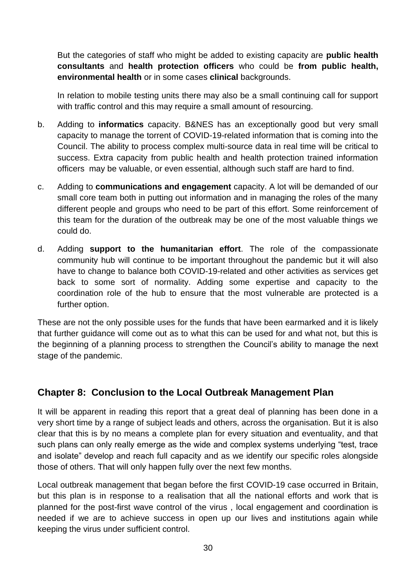But the categories of staff who might be added to existing capacity are **public health consultants** and **health protection officers** who could be **from public health, environmental health** or in some cases **clinical** backgrounds.

In relation to mobile testing units there may also be a small continuing call for support with traffic control and this may require a small amount of resourcing.

- b. Adding to **informatics** capacity. B&NES has an exceptionally good but very small capacity to manage the torrent of COVID-19-related information that is coming into the Council. The ability to process complex multi-source data in real time will be critical to success. Extra capacity from public health and health protection trained information officers may be valuable, or even essential, although such staff are hard to find.
- c. Adding to **communications and engagement** capacity. A lot will be demanded of our small core team both in putting out information and in managing the roles of the many different people and groups who need to be part of this effort. Some reinforcement of this team for the duration of the outbreak may be one of the most valuable things we could do.
- d. Adding **support to the humanitarian effort**. The role of the compassionate community hub will continue to be important throughout the pandemic but it will also have to change to balance both COVID-19-related and other activities as services get back to some sort of normality. Adding some expertise and capacity to the coordination role of the hub to ensure that the most vulnerable are protected is a further option.

These are not the only possible uses for the funds that have been earmarked and it is likely that further guidance will come out as to what this can be used for and what not, but this is the beginning of a planning process to strengthen the Council's ability to manage the next stage of the pandemic.

# **Chapter 8: Conclusion to the Local Outbreak Management Plan**

It will be apparent in reading this report that a great deal of planning has been done in a very short time by a range of subject leads and others, across the organisation. But it is also clear that this is by no means a complete plan for every situation and eventuality, and that such plans can only really emerge as the wide and complex systems underlying "test, trace and isolate" develop and reach full capacity and as we identify our specific roles alongside those of others. That will only happen fully over the next few months.

Local outbreak management that began before the first COVID-19 case occurred in Britain, but this plan is in response to a realisation that all the national efforts and work that is planned for the post-first wave control of the virus , local engagement and coordination is needed if we are to achieve success in open up our lives and institutions again while keeping the virus under sufficient control.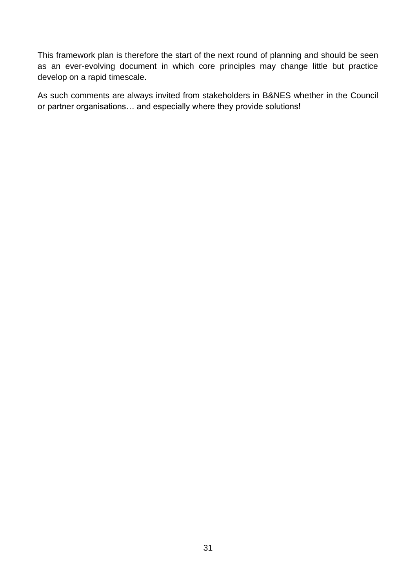This framework plan is therefore the start of the next round of planning and should be seen as an ever-evolving document in which core principles may change little but practice develop on a rapid timescale.

As such comments are always invited from stakeholders in B&NES whether in the Council or partner organisations… and especially where they provide solutions!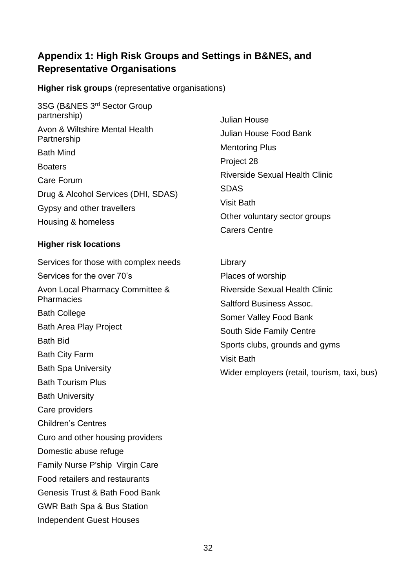# **Appendix 1: High Risk Groups and Settings in B&NES, and Representative Organisations**

**Higher risk groups** (representative organisations)

3SG (B&NES 3rd Sector Group partnership) Avon & Wiltshire Mental Health **Partnership** Bath Mind **Boaters** Care Forum Drug & Alcohol Services (DHI, SDAS) Gypsy and other travellers Housing & homeless

## **Higher risk locations**

Services for those with complex needs Services for the over 70's Avon Local Pharmacy Committee & **Pharmacies** Bath College Bath Area Play Project Bath Bid Bath City Farm Bath Spa University Bath Tourism Plus Bath University Care providers Children's Centres Curo and other housing providers Domestic abuse refuge Family Nurse P'ship Virgin Care Food retailers and restaurants Genesis Trust & Bath Food Bank GWR Bath Spa & Bus Station Independent Guest Houses

Julian House Julian House Food Bank Mentoring Plus Project 28 Riverside Sexual Health Clinic SDAS Visit Bath Other voluntary sector groups Carers Centre

Library Places of worship Riverside Sexual Health Clinic Saltford Business Assoc. Somer Valley Food Bank South Side Family Centre Sports clubs, grounds and gyms Visit Bath Wider employers (retail, tourism, taxi, bus)